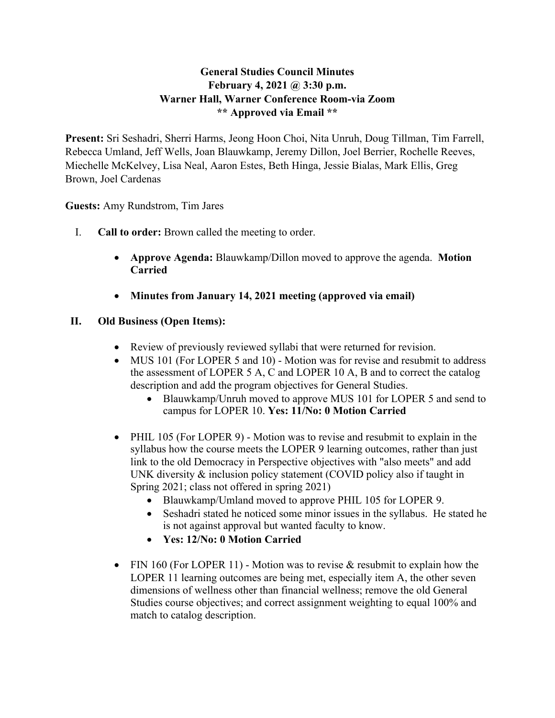## **General Studies Council Minutes February 4, 2021 @ 3:30 p.m. Warner Hall, Warner Conference Room-via Zoom \*\* Approved via Email \*\***

**Present:** Sri Seshadri, Sherri Harms, Jeong Hoon Choi, Nita Unruh, Doug Tillman, Tim Farrell, Rebecca Umland, Jeff Wells, Joan Blauwkamp, Jeremy Dillon, Joel Berrier, Rochelle Reeves, Miechelle McKelvey, Lisa Neal, Aaron Estes, Beth Hinga, Jessie Bialas, Mark Ellis, Greg Brown, Joel Cardenas

**Guests:** Amy Rundstrom, Tim Jares

- I. **Call to order:** Brown called the meeting to order.
	- **Approve Agenda:** Blauwkamp/Dillon moved to approve the agenda. **Motion Carried**
	- **Minutes from January 14, 2021 meeting (approved via email)**

## **II. Old Business (Open Items):**

- Review of previously reviewed syllabi that were returned for revision.
- MUS 101 (For LOPER 5 and 10) Motion was for revise and resubmit to address the assessment of LOPER 5 A, C and LOPER 10 A, B and to correct the catalog description and add the program objectives for General Studies.
	- Blauwkamp/Unruh moved to approve MUS 101 for LOPER 5 and send to campus for LOPER 10. **Yes: 11/No: 0 Motion Carried**
- PHIL 105 (For LOPER 9) Motion was to revise and resubmit to explain in the syllabus how the course meets the LOPER 9 learning outcomes, rather than just link to the old Democracy in Perspective objectives with "also meets" and add UNK diversity & inclusion policy statement (COVID policy also if taught in Spring 2021; class not offered in spring 2021)
	- Blauwkamp/Umland moved to approve PHIL 105 for LOPER 9.
	- Seshadri stated he noticed some minor issues in the syllabus. He stated he is not against approval but wanted faculty to know.
	- **Yes: 12/No: 0 Motion Carried**
- FIN 160 (For LOPER 11) Motion was to revise  $&$  resubmit to explain how the LOPER 11 learning outcomes are being met, especially item A, the other seven dimensions of wellness other than financial wellness; remove the old General Studies course objectives; and correct assignment weighting to equal 100% and match to catalog description.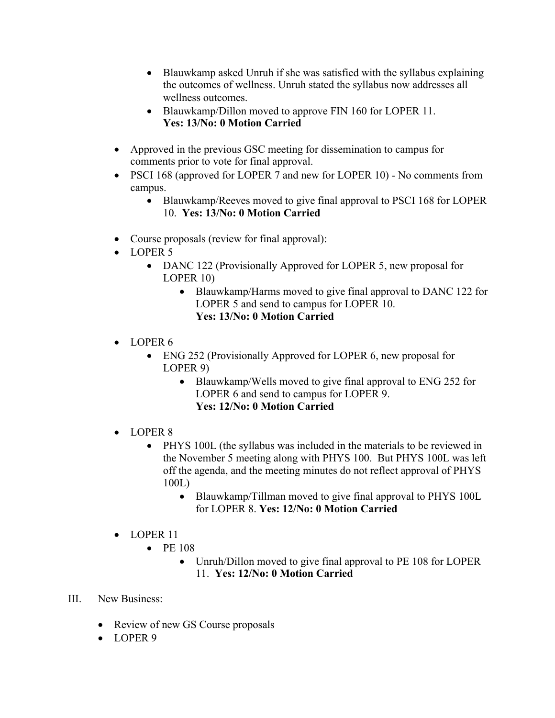- Blauwkamp asked Unruh if she was satisfied with the syllabus explaining the outcomes of wellness. Unruh stated the syllabus now addresses all wellness outcomes.
- Blauwkamp/Dillon moved to approve FIN 160 for LOPER 11. **Yes: 13/No: 0 Motion Carried**
- Approved in the previous GSC meeting for dissemination to campus for comments prior to vote for final approval.
- PSCI 168 (approved for LOPER 7 and new for LOPER 10) No comments from campus.
	- Blauwkamp/Reeves moved to give final approval to PSCI 168 for LOPER 10. **Yes: 13/No: 0 Motion Carried**
- Course proposals (review for final approval):
- LOPER 5
	- DANC 122 (Provisionally Approved for LOPER 5, new proposal for LOPER 10)
		- Blauwkamp/Harms moved to give final approval to DANC 122 for LOPER 5 and send to campus for LOPER 10. **Yes: 13/No: 0 Motion Carried**
- $\bullet$  LOPER 6
	- ENG 252 (Provisionally Approved for LOPER 6, new proposal for LOPER 9)
		- Blauwkamp/Wells moved to give final approval to ENG 252 for LOPER 6 and send to campus for LOPER 9. **Yes: 12/No: 0 Motion Carried**
- LOPER 8
	- PHYS 100L (the syllabus was included in the materials to be reviewed in the November 5 meeting along with PHYS 100. But PHYS 100L was left off the agenda, and the meeting minutes do not reflect approval of PHYS 100L)
		- Blauwkamp/Tillman moved to give final approval to PHYS 100L for LOPER 8. **Yes: 12/No: 0 Motion Carried**
- LOPER 11
	- PE 108
		- Unruh/Dillon moved to give final approval to PE 108 for LOPER 11. **Yes: 12/No: 0 Motion Carried**
- III. New Business:
	- Review of new GS Course proposals
	- LOPER 9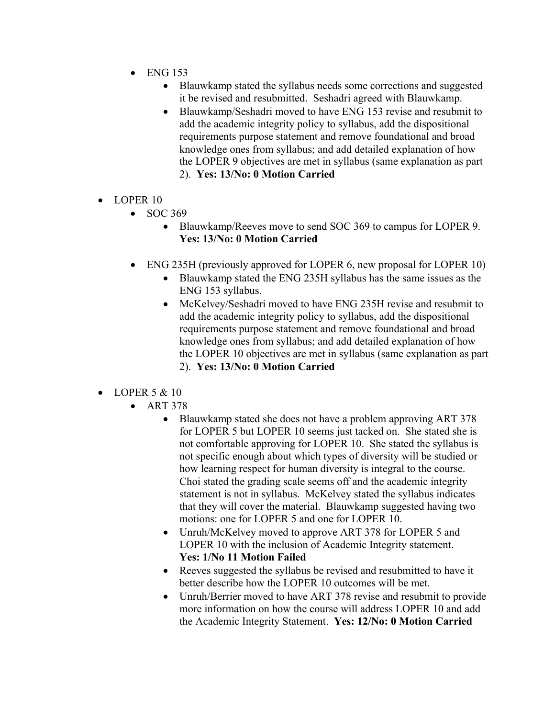- ENG 153
	- Blauwkamp stated the syllabus needs some corrections and suggested it be revised and resubmitted. Seshadri agreed with Blauwkamp.
	- Blauwkamp/Seshadri moved to have ENG 153 revise and resubmit to add the academic integrity policy to syllabus, add the dispositional requirements purpose statement and remove foundational and broad knowledge ones from syllabus; and add detailed explanation of how the LOPER 9 objectives are met in syllabus (same explanation as part 2). **Yes: 13/No: 0 Motion Carried**
- LOPER 10
	- SOC 369
		- Blauwkamp/Reeves move to send SOC 369 to campus for LOPER 9. **Yes: 13/No: 0 Motion Carried**
	- ENG 235H (previously approved for LOPER 6, new proposal for LOPER 10)
		- Blauwkamp stated the ENG 235H syllabus has the same issues as the ENG 153 syllabus.
		- McKelvey/Seshadri moved to have ENG 235H revise and resubmit to add the academic integrity policy to syllabus, add the dispositional requirements purpose statement and remove foundational and broad knowledge ones from syllabus; and add detailed explanation of how the LOPER 10 objectives are met in syllabus (same explanation as part 2). **Yes: 13/No: 0 Motion Carried**
- LOPER  $5 & 10$ 
	- ART 378
		- Blauwkamp stated she does not have a problem approving ART 378 for LOPER 5 but LOPER 10 seems just tacked on. She stated she is not comfortable approving for LOPER 10. She stated the syllabus is not specific enough about which types of diversity will be studied or how learning respect for human diversity is integral to the course. Choi stated the grading scale seems off and the academic integrity statement is not in syllabus. McKelvey stated the syllabus indicates that they will cover the material. Blauwkamp suggested having two motions: one for LOPER 5 and one for LOPER 10.
		- Unruh/McKelvey moved to approve ART 378 for LOPER 5 and LOPER 10 with the inclusion of Academic Integrity statement. **Yes: 1/No 11 Motion Failed**
		- Reeves suggested the syllabus be revised and resubmitted to have it better describe how the LOPER 10 outcomes will be met.
		- Unruh/Berrier moved to have ART 378 revise and resubmit to provide more information on how the course will address LOPER 10 and add the Academic Integrity Statement. **Yes: 12/No: 0 Motion Carried**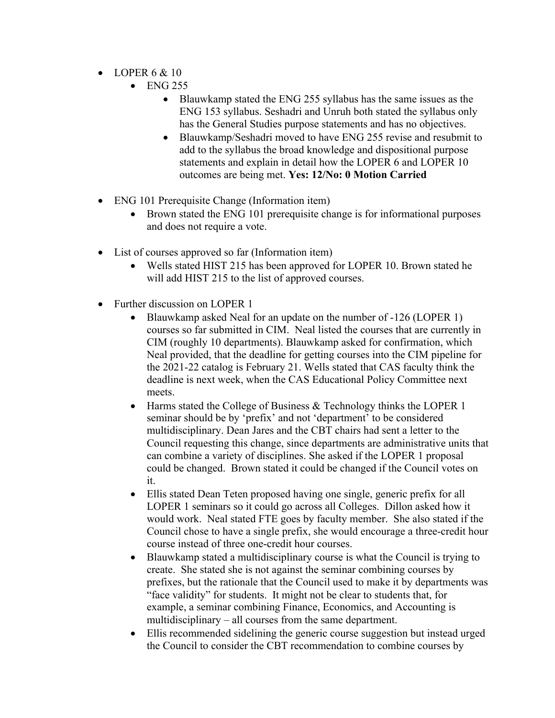- LOPER  $6 \& 10$ 
	- ENG 255
		- Blauwkamp stated the ENG 255 syllabus has the same issues as the ENG 153 syllabus. Seshadri and Unruh both stated the syllabus only has the General Studies purpose statements and has no objectives.
		- Blauwkamp/Seshadri moved to have ENG 255 revise and resubmit to add to the syllabus the broad knowledge and dispositional purpose statements and explain in detail how the LOPER 6 and LOPER 10 outcomes are being met. **Yes: 12/No: 0 Motion Carried**
- ENG 101 Prerequisite Change (Information item)
	- Brown stated the ENG 101 prerequisite change is for informational purposes and does not require a vote.
- List of courses approved so far (Information item)
	- Wells stated HIST 215 has been approved for LOPER 10. Brown stated he will add HIST 215 to the list of approved courses.
- Further discussion on LOPER 1
	- Blauwkamp asked Neal for an update on the number of -126 (LOPER 1) courses so far submitted in CIM. Neal listed the courses that are currently in CIM (roughly 10 departments). Blauwkamp asked for confirmation, which Neal provided, that the deadline for getting courses into the CIM pipeline for the 2021-22 catalog is February 21. Wells stated that CAS faculty think the deadline is next week, when the CAS Educational Policy Committee next meets.
	- Harms stated the College of Business & Technology thinks the LOPER 1 seminar should be by 'prefix' and not 'department' to be considered multidisciplinary. Dean Jares and the CBT chairs had sent a letter to the Council requesting this change, since departments are administrative units that can combine a variety of disciplines. She asked if the LOPER 1 proposal could be changed. Brown stated it could be changed if the Council votes on it.
	- Ellis stated Dean Teten proposed having one single, generic prefix for all LOPER 1 seminars so it could go across all Colleges. Dillon asked how it would work. Neal stated FTE goes by faculty member. She also stated if the Council chose to have a single prefix, she would encourage a three-credit hour course instead of three one-credit hour courses.
	- Blauwkamp stated a multidisciplinary course is what the Council is trying to create. She stated she is not against the seminar combining courses by prefixes, but the rationale that the Council used to make it by departments was "face validity" for students. It might not be clear to students that, for example, a seminar combining Finance, Economics, and Accounting is multidisciplinary – all courses from the same department.
	- Ellis recommended sidelining the generic course suggestion but instead urged the Council to consider the CBT recommendation to combine courses by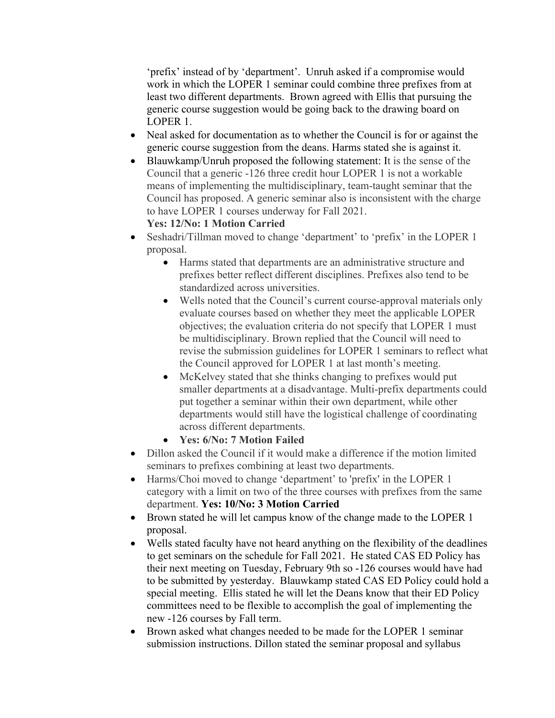'prefix' instead of by 'department'. Unruh asked if a compromise would work in which the LOPER 1 seminar could combine three prefixes from at least two different departments. Brown agreed with Ellis that pursuing the generic course suggestion would be going back to the drawing board on LOPER 1.

- Neal asked for documentation as to whether the Council is for or against the generic course suggestion from the deans. Harms stated she is against it.
- Blauwkamp/Unruh proposed the following statement: It is the sense of the Council that a generic -126 three credit hour LOPER 1 is not a workable means of implementing the multidisciplinary, team-taught seminar that the Council has proposed. A generic seminar also is inconsistent with the charge to have LOPER 1 courses underway for Fall 2021. **Yes: 12/No: 1 Motion Carried**
- Seshadri/Tillman moved to change 'department' to 'prefix' in the LOPER 1 proposal.
	- Harms stated that departments are an administrative structure and prefixes better reflect different disciplines. Prefixes also tend to be standardized across universities.
	- Wells noted that the Council's current course-approval materials only evaluate courses based on whether they meet the applicable LOPER objectives; the evaluation criteria do not specify that LOPER 1 must be multidisciplinary. Brown replied that the Council will need to revise the submission guidelines for LOPER 1 seminars to reflect what the Council approved for LOPER 1 at last month's meeting.
	- McKelvey stated that she thinks changing to prefixes would put smaller departments at a disadvantage. Multi-prefix departments could put together a seminar within their own department, while other departments would still have the logistical challenge of coordinating across different departments.
	- **Yes: 6/No: 7 Motion Failed**
- Dillon asked the Council if it would make a difference if the motion limited seminars to prefixes combining at least two departments.
- Harms/Choi moved to change 'department' to 'prefix' in the LOPER 1 category with a limit on two of the three courses with prefixes from the same department. **Yes: 10/No: 3 Motion Carried**
- Brown stated he will let campus know of the change made to the LOPER 1 proposal.
- Wells stated faculty have not heard anything on the flexibility of the deadlines to get seminars on the schedule for Fall 2021. He stated CAS ED Policy has their next meeting on Tuesday, February 9th so -126 courses would have had to be submitted by yesterday. Blauwkamp stated CAS ED Policy could hold a special meeting. Ellis stated he will let the Deans know that their ED Policy committees need to be flexible to accomplish the goal of implementing the new -126 courses by Fall term.
- Brown asked what changes needed to be made for the LOPER 1 seminar submission instructions. Dillon stated the seminar proposal and syllabus